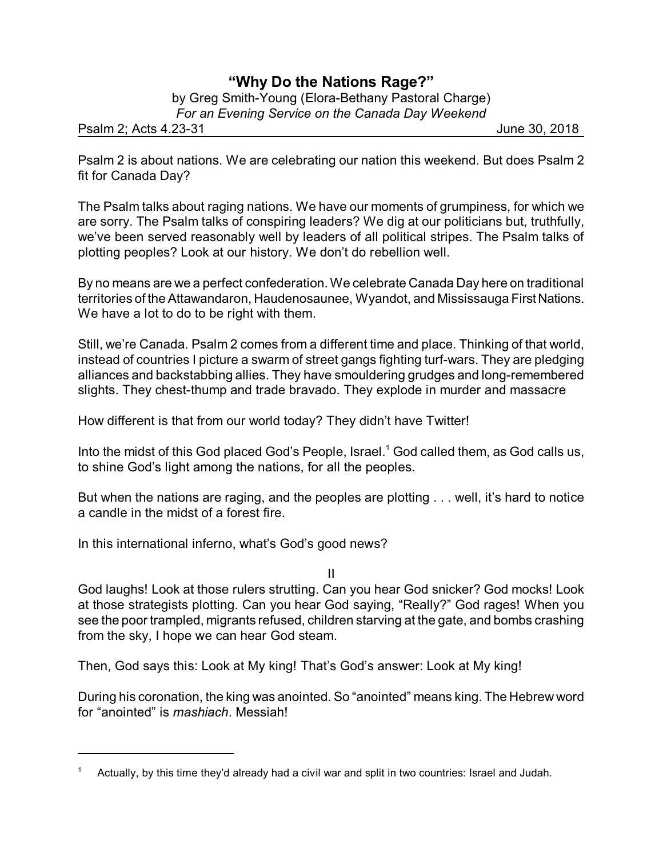## **"Why Do the Nations Rage?"**

by Greg Smith-Young (Elora-Bethany Pastoral Charge) *For an Evening Service on the Canada Day Weekend*

Psalm 2; Acts 4.23-31 June 30, 2018

Psalm 2 is about nations. We are celebrating our nation this weekend. But does Psalm 2 fit for Canada Day?

The Psalm talks about raging nations. We have our moments of grumpiness, for which we are sorry. The Psalm talks of conspiring leaders? We dig at our politicians but, truthfully, we've been served reasonably well by leaders of all political stripes. The Psalm talks of plotting peoples? Look at our history. We don't do rebellion well.

By no means are we a perfect confederation. We celebrate Canada Day here on traditional territories of the Attawandaron, Haudenosaunee, Wyandot, and Mississauga First Nations. We have a lot to do to be right with them.

Still, we're Canada. Psalm 2 comes from a different time and place. Thinking of that world, instead of countries I picture a swarm of street gangs fighting turf-wars. They are pledging alliances and backstabbing allies. They have smouldering grudges and long-remembered slights. They chest-thump and trade bravado. They explode in murder and massacre

How different is that from our world today? They didn't have Twitter!

Into the midst of this God placed God's People, Israel. <sup>1</sup> God called them, as God calls us, to shine God's light among the nations, for all the peoples.

But when the nations are raging, and the peoples are plotting . . . well, it's hard to notice a candle in the midst of a forest fire.

In this international inferno, what's God's good news?

II

God laughs! Look at those rulers strutting. Can you hear God snicker? God mocks! Look at those strategists plotting. Can you hear God saying, "Really?" God rages! When you see the poor trampled, migrants refused, children starving at the gate, and bombs crashing from the sky, I hope we can hear God steam.

Then, God says this: Look at My king! That's God's answer: Look at My king!

During his coronation, the king was anointed. So "anointed" means king. The Hebrew word for "anointed" is *mashiach*. Messiah!

<sup>1</sup> Actually, by this time they'd already had a civil war and split in two countries: Israel and Judah.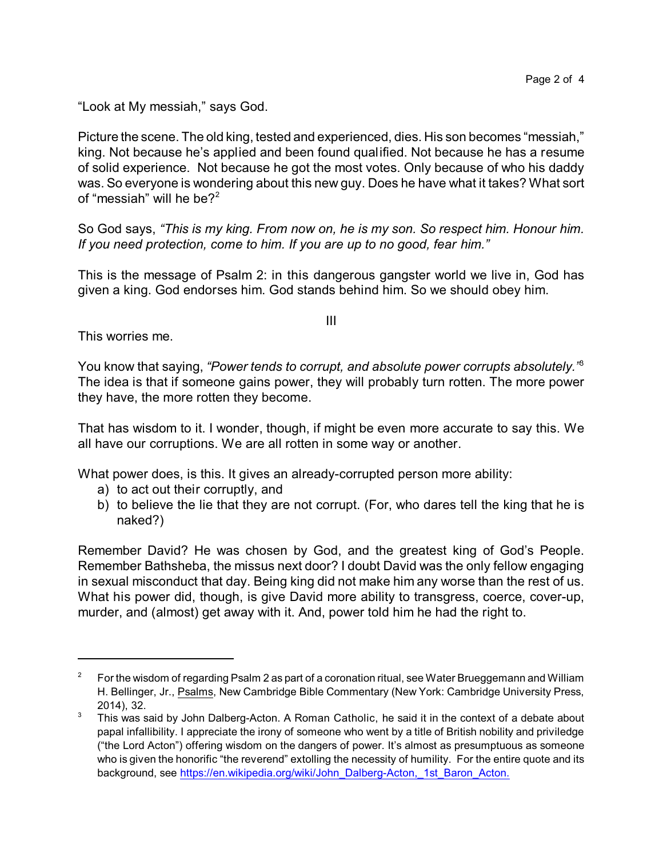"Look at My messiah," says God.

Picture the scene. The old king, tested and experienced, dies. His son becomes "messiah," king. Not because he's applied and been found qualified. Not because he has a resume of solid experience. Not because he got the most votes. Only because of who his daddy was. So everyone is wondering about this new guy. Does he have what it takes? What sort of "messiah" will he be?<sup>2</sup>

So God says, *"This is my king. From now on, he is my son. So respect him. Honour him. If you need protection, come to him. If you are up to no good, fear him."*

This is the message of Psalm 2: in this dangerous gangster world we live in, God has given a king. God endorses him. God stands behind him. So we should obey him.

This worries me.

You know that saying, *"Power tends to corrupt, and absolute power corrupts absolutely."*<sup>3</sup> The idea is that if someone gains power, they will probably turn rotten. The more power they have, the more rotten they become.

That has wisdom to it. I wonder, though, if might be even more accurate to say this. We all have our corruptions. We are all rotten in some way or another.

What power does, is this. It gives an already-corrupted person more ability:

- a) to act out their corruptly, and
- b) to believe the lie that they are not corrupt. (For, who dares tell the king that he is naked?)

Remember David? He was chosen by God, and the greatest king of God's People. Remember Bathsheba, the missus next door? I doubt David was the only fellow engaging in sexual misconduct that day. Being king did not make him any worse than the rest of us. What his power did, though, is give David more ability to transgress, coerce, cover-up, murder, and (almost) get away with it. And, power told him he had the right to.

III

<sup>&</sup>lt;sup>2</sup> For the wisdom of regarding Psalm 2 as part of a coronation ritual, see Water Brueggemann and William H. Bellinger, Jr., Psalms, New Cambridge Bible Commentary (New York: Cambridge University Press, 2014), 32.

 $3$  This was said by John Dalberg-Acton. A Roman Catholic, he said it in the context of a debate about papal infallibility. I appreciate the irony of someone who went by a title of British nobility and priviledge ("the Lord Acton") offering wisdom on the dangers of power. It's almost as presumptuous as someone who is given the honorific "the reverend" extolling the necessity of humility. For the entire quote and its background, see https://en.wikipedia.org/wiki/John\_Dalberg-Acton, 1st\_Baron\_Acton.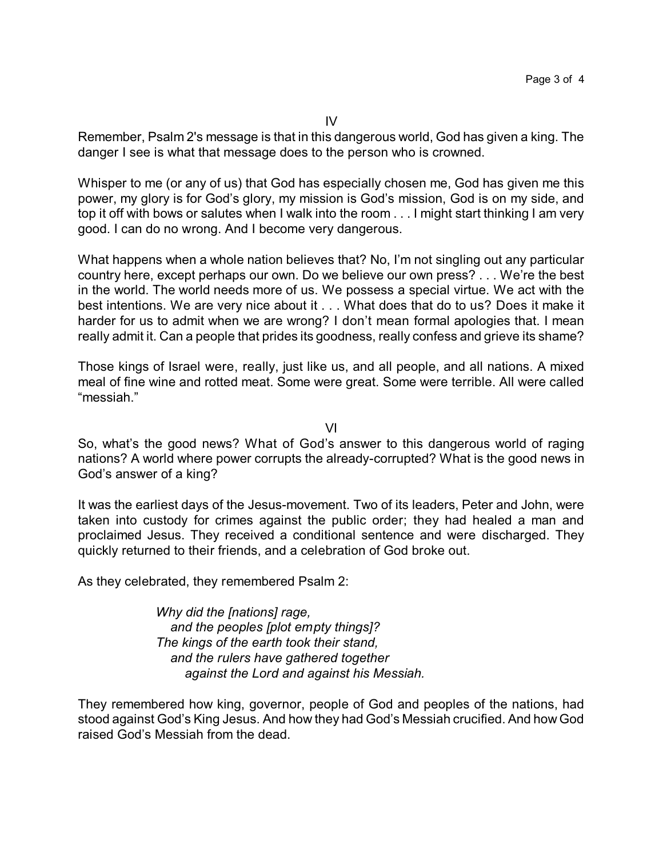Remember, Psalm 2's message is that in this dangerous world, God has given a king. The danger I see is what that message does to the person who is crowned.

Whisper to me (or any of us) that God has especially chosen me, God has given me this power, my glory is for God's glory, my mission is God's mission, God is on my side, and top it off with bows or salutes when I walk into the room . . . I might start thinking I am very good. I can do no wrong. And I become very dangerous.

What happens when a whole nation believes that? No, I'm not singling out any particular country here, except perhaps our own. Do we believe our own press? . . . We're the best in the world. The world needs more of us. We possess a special virtue. We act with the best intentions. We are very nice about it . . . What does that do to us? Does it make it harder for us to admit when we are wrong? I don't mean formal apologies that. I mean really admit it. Can a people that prides its goodness, really confess and grieve its shame?

Those kings of Israel were, really, just like us, and all people, and all nations. A mixed meal of fine wine and rotted meat. Some were great. Some were terrible. All were called "messiah."

VI

So, what's the good news? What of God's answer to this dangerous world of raging nations? A world where power corrupts the already-corrupted? What is the good news in God's answer of a king?

It was the earliest days of the Jesus-movement. Two of its leaders, Peter and John, were taken into custody for crimes against the public order; they had healed a man and proclaimed Jesus. They received a conditional sentence and were discharged. They quickly returned to their friends, and a celebration of God broke out.

As they celebrated, they remembered Psalm 2:

*Why did the [nations] rage, and the peoples [plot empty things]? The kings of the earth took their stand, and the rulers have gathered together against the Lord and against his Messiah.*

They remembered how king, governor, people of God and peoples of the nations, had stood against God's King Jesus. And how they had God's Messiah crucified. And how God raised God's Messiah from the dead.